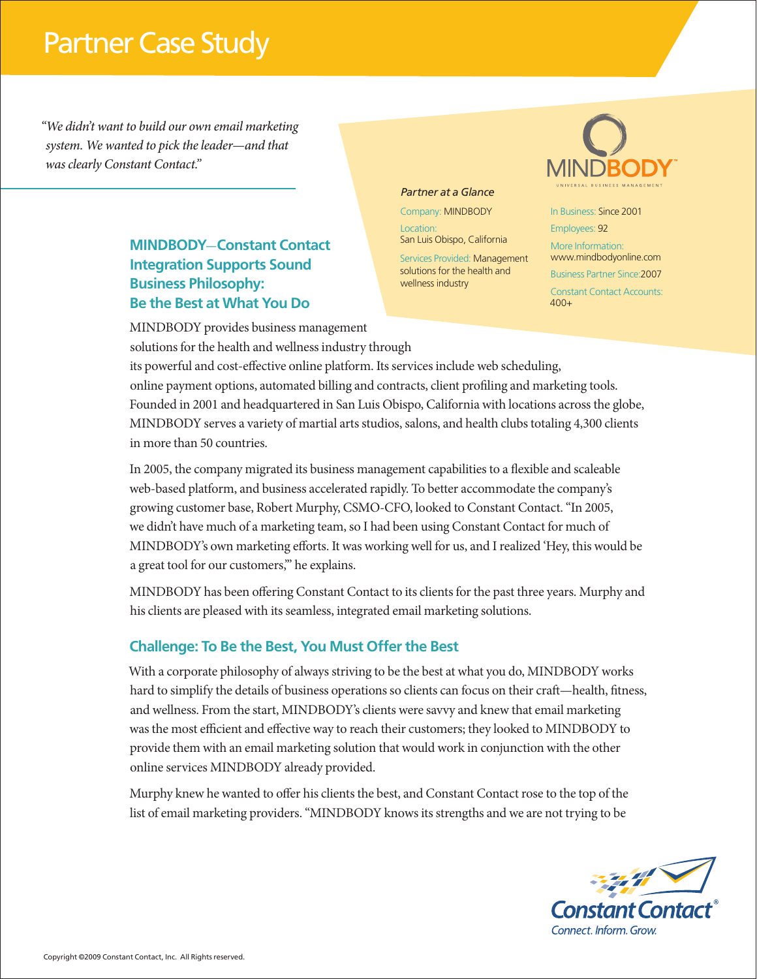# Partner Case Study

*"We didn't want to build our own email marketing system. We wanted to pick the leader—and that was clearly Constant Contact."*

### **MINDBODY**-**Constant Contact Integration Supports Sound Business Philosophy: Be the Best at What You Do**

#### *Partner at a Glance*

Company: MINDBODY Location:

San Luis Obispo, California

Services Provided: Management solutions for the health and wellness industry



In Business: Since 2001 Employees: 92 More Information: www.mindbodyonline.com **PROCESS M 2 / K 68 PROCESS M 53 / Y 100**Business Partner Since:2007 Constant Contact Accounts: 400+

MINDBODY provides business management solutions for the health and wellness industry through

its powerful and cost-effective online platform. Its services include web scheduling, online payment options, automated billing and contracts, client profiling and marketing tools. Founded in 2001 and headquartered in San Luis Obispo, California with locations across the globe, MINDBODY serves a variety of martial arts studios, salons, and health clubs totaling 4,300 clients in more than 50 countries.

In 2005, the company migrated its business management capabilities to a flexible and scaleable web-based platform, and business accelerated rapidly. To better accommodate the company's growing customer base, Robert Murphy, CSMO-CFO, looked to Constant Contact. "In 2005, we didn't have much of a marketing team, so I had been using Constant Contact for much of MINDBODY's own marketing efforts. It was working well for us, and I realized 'Hey, this would be a great tool for our customers,'" he explains.

MINDBODY has been offering Constant Contact to its clients for the past three years. Murphy and his clients are pleased with its seamless, integrated email marketing solutions.

#### **Challenge: To Be the Best, You Must Offer the Best**

With a corporate philosophy of always striving to be the best at what you do, MINDBODY works hard to simplify the details of business operations so clients can focus on their craft—health, fitness, and wellness. From the start, MINDBODY's clients were savvy and knew that email marketing was the most efficient and effective way to reach their customers; they looked to MINDBODY to provide them with an email marketing solution that would work in conjunction with the other online services MINDBODY already provided.

Murphy knew he wanted to offer his clients the best, and Constant Contact rose to the top of the list of email marketing providers. "MINDBODY knows its strengths and we are not trying to be